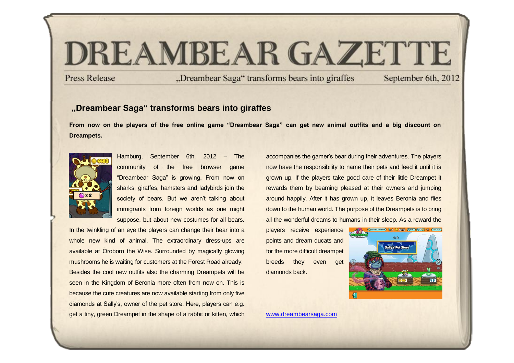# DREAMBEAR GAZETTE

**Press Release** 

"Dreambear Saga" transforms bears into giraffes

September 6th, 2012

# **"Dreambear Saga" transforms bears into giraffes**

**From now on the players of the free online game "Dreambear Saga" can get new animal outfits and a big discount on Dreampets.**



Hamburg, September 6th, 2012 – The community of the free browser game "Dreambear Saga" is growing. From now on sharks, giraffes, hamsters and ladybirds join the society of bears. But we aren't talking about immigrants from foreign worlds as one might suppose, but about new costumes for all bears.

In the twinkling of an eye the players can change their bear into a whole new kind of animal. The extraordinary dress-ups are available at Oroboro the Wise. Surrounded by magically glowing mushrooms he is waiting for customers at the Forest Road already. Besides the cool new outfits also the charming Dreampets will be seen in the Kingdom of Beronia more often from now on. This is because the cute creatures are now available starting from only five diamonds at Sally's, owner of the pet store. Here, players can e.g. get a tiny, green Dreampet in the shape of a rabbit or kitten, which

accompanies the gamer's bear during their adventures. The players now have the responsibility to name their pets and feed it until it is grown up. If the players take good care of their little Dreampet it rewards them by beaming pleased at their owners and jumping around happily. After it has grown up, it leaves Beronia and flies down to the human world. The purpose of the Dreampets is to bring all the wonderful dreams to humans in their sleep. As a reward the

players receive experience points and dream ducats and for the more difficult dreampet breeds they even get diamonds back.



[www.dreambearsaga.com](https://game.dreambearsaga.com/%22%20/l%20%22referrer=86ajlx97drfviot5&code=pm060912EN&language=en_GB)